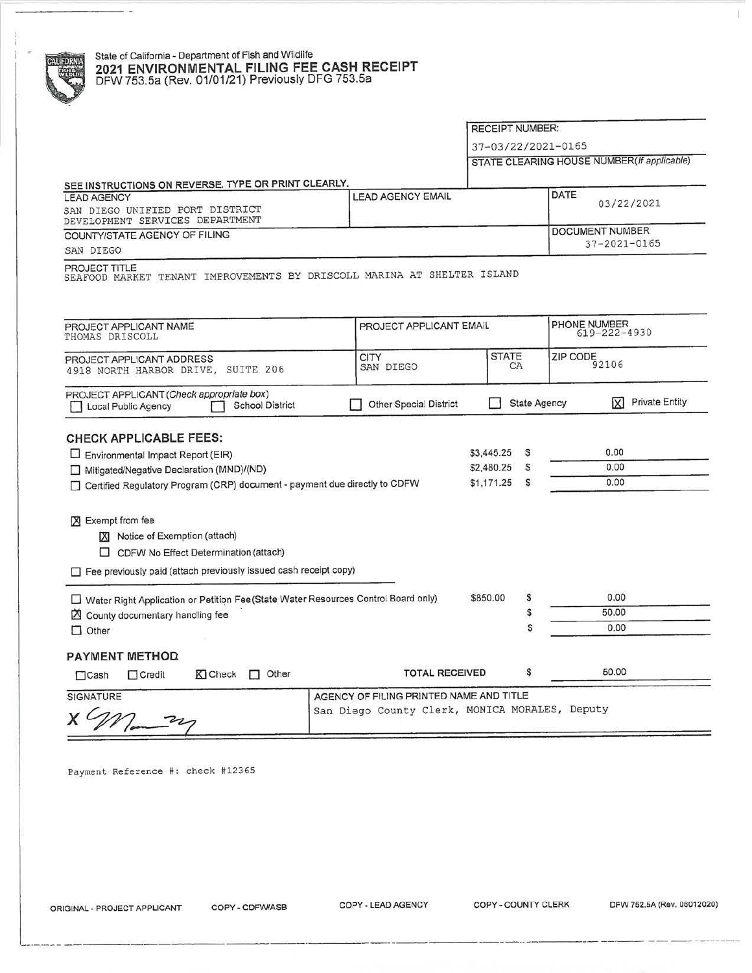## State of California • Department of Fish and Wildlife **2021 ENVIRONMENTAL FILING FEE CASH RECEIPT**  DFW753.5a (Rev. 01/01/21) Previously DFG 753.5a

RECEIPT NUMBER:

37-03/22/2021- 0165

STATE CLEARING HOUSE NUMBER (If applicable)

 $\|.\|$ 

|                                                                                                                                                                                                                    |                                                                                           |                                                       | <b>STATE CELARING HOUGE HOMBERT</b>                 |
|--------------------------------------------------------------------------------------------------------------------------------------------------------------------------------------------------------------------|-------------------------------------------------------------------------------------------|-------------------------------------------------------|-----------------------------------------------------|
| SEE INSTRUCTIONS ON REVERSE. TYPE OR PRINT CLEARLY.<br><b>LEAD AGENCY</b><br>SAN DIEGO UNIFIED PORT DISTRICT<br>DEVELOPMENT SERVICES DEPARTMENT                                                                    | <b>LEAD AGENCY EMAIL</b>                                                                  |                                                       | DATE<br>03/22/2021                                  |
| COUNTY/STATE AGENCY OF FILING<br>SAN DIEGO                                                                                                                                                                         | DOCUMENT NUMBER<br>37-2021-0165                                                           |                                                       |                                                     |
| PROJECT TITLE<br>SEAFOOD MARKET TENANT IMPROVEMENTS BY DRISCOLL MARINA AT SHELTER ISLAND                                                                                                                           |                                                                                           |                                                       |                                                     |
| PROJECT APPLICANT NAME<br>THOMAS DRISCOLL                                                                                                                                                                          | PROJECT APPLICANT EMAIL                                                                   |                                                       | PHONE NUMBER<br>$619 - 222 - 4930$                  |
| PROJECT APPLICANT ADDRESS<br>4918 NORTH HARBOR DRIVE, SUITE 206                                                                                                                                                    | <b>CITY</b><br>SAN DIEGO                                                                  | <b>STATE</b><br>СA                                    | ZIP CODE<br>92106                                   |
| PROJECT APPLICANT (Check appropriate box)<br><b>School District</b><br><b>Local Public Agency</b>                                                                                                                  | <b>Other Special District</b>                                                             |                                                       | <b>Private Entity</b><br>ΙXΙ<br><b>State Agency</b> |
| <b>CHECK APPLICABLE FEES:</b><br>Environmental Impact Report (EIR)<br>$\mathbf{r}$<br>Mitigated/Negative Declaration (MND)/(ND)<br>ш<br>Certified Regulatory Program (CRP) document - payment due directly to CDFW |                                                                                           | \$3,445.25<br>s<br>\$2,480.25<br>s<br>\$1,171.25<br>s | 0.00<br>0.00<br>0.00                                |
| X Exempt from fee<br>Notice of Exemption (attach)<br>CDFW No Effect Determination (attach)<br>Fee previously paid (attach previously issued cash receipt copy)                                                     |                                                                                           |                                                       |                                                     |
| □ Water Right Application or Petition Fee(State Water Resources Control Board only)<br>County documentary handling fee<br>$\Box$ Other                                                                             |                                                                                           | \$<br>\$850.00<br>\$<br>S                             | 0.00<br>50.00<br>0.00                               |
| PAYMENT METHOD<br>$\Box$ Other<br>K Check<br>$\Box$ Credit<br>$\Box$ Cash                                                                                                                                          | <b>TOTAL RECEIVED</b>                                                                     | \$                                                    | 50.00                                               |
| SIGNATURE                                                                                                                                                                                                          | AGENCY OF FILING PRINTED NAME AND TITLE<br>San Diego County Clerk, MONICA MORALES, Deputy |                                                       |                                                     |

Payment Reference #: check #12365

----·----- -------·--~-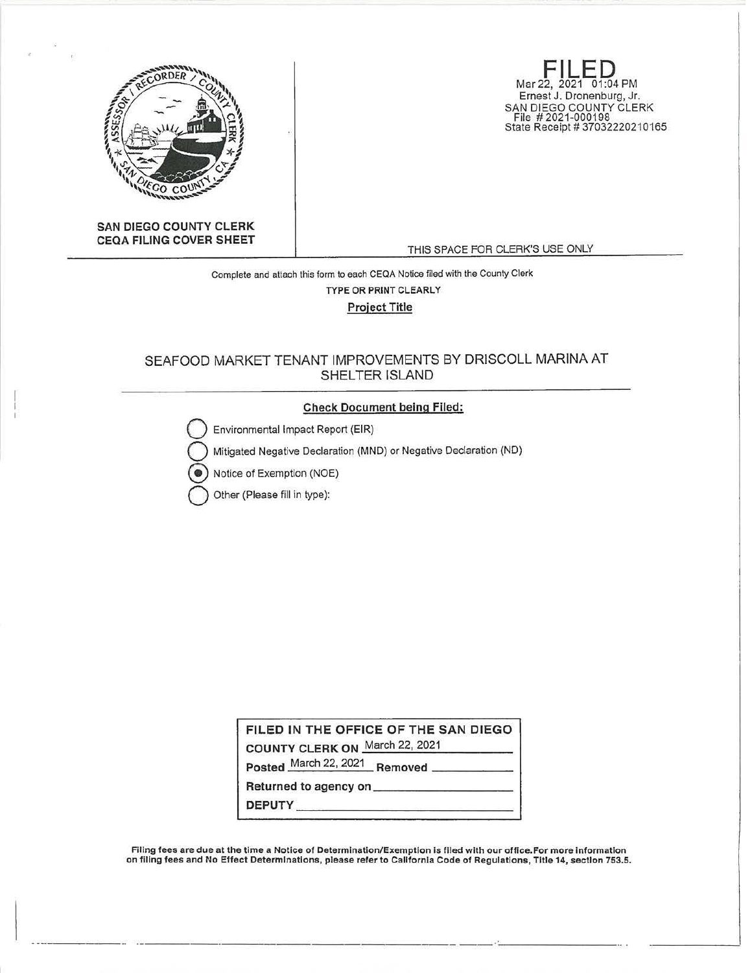

**FILED**<br>Mar 22, 2021 01:04 PM Ernest J. Dronenburg, Jr. SAN DIEGO COUNTY CLERK File # 2021-000198 State Receipt# 37032220210165

**SAN DIEGO COUNTY CLERK CEQA FILING COVER SHEET** 

THIS SPACE FOR CLERK'S USE ONLY

# Complete and attach this form to each CEQA Notice filed with the County Clerk **TYPE OR PRINT CLEARLY Project Title**

# SEAFOOD MARKET TENANT IMPROVEMENTS BY DRISCOLL MARINA AT SHELTER ISLAND

## Check Document being Filed:

Environmental Impact Report (EIR)

Mitigated Negative Declaration (MND) or Negative Declaration (ND)

•) Notice of Exemption (NOE)

Other (Please fill in type):

**FILED IN THE OFFICE OF THE SAN DIEGO** 

**COUNTY CLERK ON** March 22, 2021

Posted March 22, 2021 Removed \_

Returned to agency on \_\_\_\_\_\_\_\_\_ \_ Returned to agency on \_\_\_\_\_\_\_\_\_\_\_\_\_\_\_\_\_\_\_\_\_<br>DEPUTY

Filing fees are due at the time a Notice of Determination/Exemption is flied with our office.For more Information on filing fees and No Effect Determinations, please refer to California Code of Regulations, Title 14, section 753.5.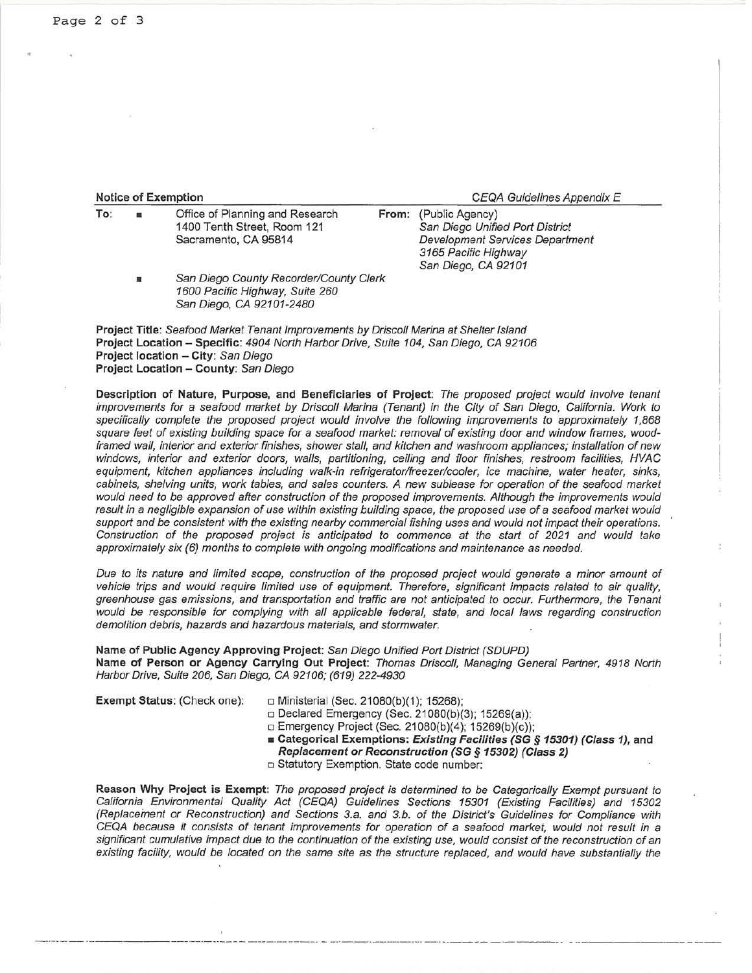### **Notice of Exemption Notice of Exemption** *CEQA Guidelines Appendix E*

| To: |                | Office of Planning and Research        | From: (Public Agency)                  |  |
|-----|----------------|----------------------------------------|----------------------------------------|--|
|     |                | 1400 Tenth Street, Room 121            | San Diego Unified Port District        |  |
|     |                | Sacramento, CA 95814                   | <b>Development Services Department</b> |  |
|     |                |                                        | 3165 Pacific Highway                   |  |
|     |                |                                        | San Diego, CA 92101                    |  |
|     | $\blacksquare$ | San Diego County Recorder/County Clerk |                                        |  |
|     |                | 1600 Pacific Highway, Suite 260        |                                        |  |
|     |                | San Diego, CA 92101-2480               |                                        |  |

**Project Title:** Seafood Market Tenant Improvements by Driscoll Marina at Shelter Island **Project Location - Specific:** 4904 North Harbor Drive, Suite 104, San Diego, CA 92106 **Project location - City:** San Diego **Project Location - County:** San Diego

**Description of Nature, Purpose, and Beneficiaries of Project:** The proposed project would involve tenant improvements for a seafood market by Driscoll Marina (Tenant) In the City of San Diego, California. Work to specifically complete the proposed project would involve the following improvements to approximately 1,868 square feet of existing building space for a seafood market: removal of existing door and window frames, woodframed wall, interior and exterior finishes, shower stall, and kitchen and washroom appliances; installation of new windows, interior and exterior doors, walls, partitioning, ceiling and floor finishes, restroom facilities, HVAC equipment, kitchen appliances including walk-in refrigerator/freezer/cooler, ice machine, water heater, sinks, cabinets, shelving units, work tables, and sales counters. A new sublease for operation of the seafood market would need to be approved after construction of the proposed improvements. Although the improvements would result in a negligible expansion of use within existing building space, the proposed use of a seafood market would support and be consistent with the existing nearby commercial fishing uses and would not impact their operations. Construction of the proposed project is anticipated to commence at the start of 2021 and would take approximately six (6) months to complete with ongoing modifications and maintenance as needed.

Due to its nature and limited scope, construction of the proposed project would generate a minor amount of vehicle trips and would require limited use of equipment. Therefore, significant impacts related to air quality, greenhouse gas emissions, and transportation and traffic are not anticipated to occur. Furthermore, the Tenant would be responsible for complying with all applicable federal, state, and local laws regarding construction demolition debris, hazards and hazardous materials, and stormwater.

## **Name of Public Agency Approving Project:** San Diego Unified Port District (SDUPD) **Name of Person or Agency Carrying Out Project:** Thomas Driscoll, Managing General Partner, 4918 North Harbor Drive, Suite 206, San Diego, CA 92106; (619) 222-4930

**Exempt Status: (Check one):** □ Ministerial (Sec. 21080(b)(1); 15268);

- □ Declared Emergency (Sec. 21080(b)(3); 15269(a));
- □ Emergency Project (Sec. 21080(b)(4); 15269(b)(c));
- **Categorical Exemptions: Existing Facilities (SG** *§* **15301) (Class 1), and Replacement or Reconstruction (SG § 15302) (Class 2)**
- o Statutory Exemption. State code number:

**Reason Why Project is Exempt:** The proposed project is determined to be Categorically Exempt pursuant to California Environmental Quality Act (CEQA) Guidelines Sections 15301 (Existing Facilities) and 15302 (Replacement or Reconstruction) and Sections 3.a. and 3.b. of the District's Guidelines for Compliance with CEQA because it consists of tenant improvements for operation of a seafood market, would not result in a significant cumulative impact due to the continuation of the existing use, would consist of the reconstruction of an existing facility, would be located on the same site as the structure replaced, and would have substantially the

 $\cdot$  .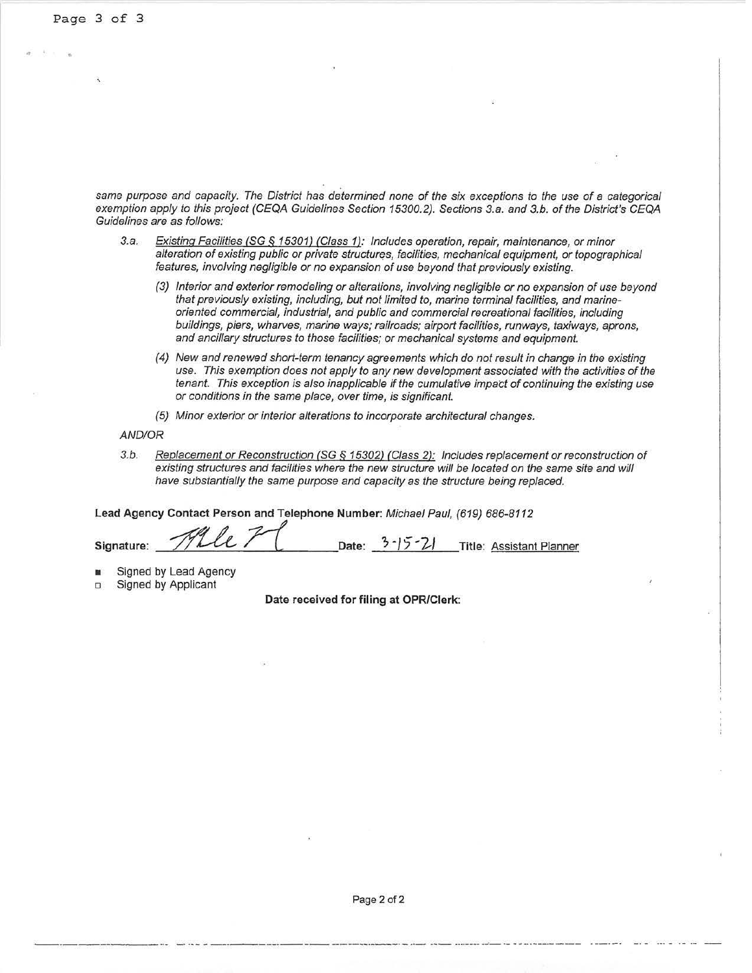same purpose and capacity. The District has determined none of the six exceptions to the use of a categorical exemption apply to this project (CEQA Guidelines Section 15300.2). Sections 3.a. and 3.b. of the District's CEQA Guidelines are as follows:

- 3.a. Existing Facilities (SG § 15301) (Class 1): Includes operation, repair, maintenance, or minor alteration of existing public or private structures, facilities, mechanical equipment, or topographical features, involving negligible or no expansion of use beyond that previously existing.
	- (3) Interior and exterior remodeling or alterations, involving negligible or no expansion of use beyond that previously existing, including, but not limited to, marine terminal facilities, and marineoriented commercial, industrial, and public and commercial recreational facilities, including buildings, piers, wharves, marine ways; railroads; airport facilities, runways, taxiways, aprons, and ancillary structures to those facilities; or mechanical systems and equipment.
	- (4) New and renewed short-term tenancy agreements which do not result in change in the existing use. This exemption does not apply to any new development associated with the activities of the tenant. This exception is also inapplicable if the cumulative impact of continuing the existing use or conditions in the same place, over time, is significant.
	- (5) Minor exterior or interior alterations to incorporate architectural changes.

## AND/OR

3.b. Replacement or Reconstruction (SG *§* 15302) (Class 2): Includes replacement or reconstruction of existing structures and facilities where the new structure will be located on the same site and will have substantially the same purpose and capacity as the structure being replaced.

**Lead Agency Contact Person and Telephone Number:** Michael Paul, (619) 686-8112

**Signature: --"zf!:\_,\_'fh \_\_\_\_ ti \_ \_\_\_,,"-\_\_\_**  Date:  $3 - 15 - 21$  Title: Assistant Planner

- Signed by Lead Agency
- Signed by Applicant

**Date received for filing at OPRIClerk:** 

------ -··--- - ----- -------------------------····---- -..J- •- --------- -- -----· -·- ·-·- -- ·- -